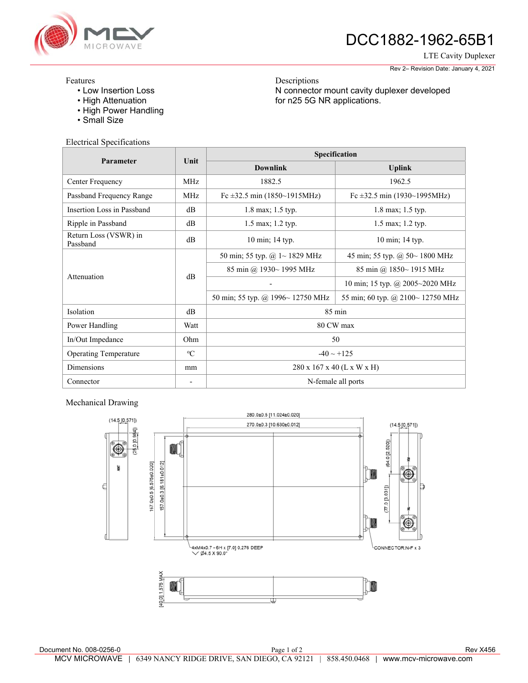

# DCC1882-1962-65B1

LTE Cavity Duplexer

Rev 2– Revision Date: January 4, 2021

#### Features

- Low Insertion Loss
- High Attenuation
- High Power Handling
- Small Size

### Electrical Specifications

| Parameter                         | Unit        | Specification                       |                                   |
|-----------------------------------|-------------|-------------------------------------|-----------------------------------|
|                                   |             | <b>Downlink</b>                     | <b>Uplink</b>                     |
| Center Frequency                  | MHz         | 1882.5                              | 1962.5                            |
| Passband Frequency Range          | <b>MHz</b>  | Fc $\pm$ 32.5 min (1850~1915MHz)    | Fc $\pm$ 32.5 min (1930~1995MHz)  |
| Insertion Loss in Passband        | dB          | 1.8 max; 1.5 typ.                   | 1.8 max; 1.5 typ.                 |
| Ripple in Passband                | dB          | 1.5 max; 1.2 typ.                   | 1.5 max; 1.2 typ.                 |
| Return Loss (VSWR) in<br>Passband | dB          | 10 min; 14 typ.                     | 10 min; 14 typ.                   |
| Attenuation                       | dB          | 50 min; 55 typ. @ $1 \sim 1829$ MHz | 45 min; 55 typ. @ $50~1800$ MHz   |
|                                   |             | 85 min @ 1930~ 1995 MHz             | 85 min @ 1850~1915 MHz            |
|                                   |             |                                     | 10 min; 15 typ. @ 2005~2020 MHz   |
|                                   |             | 50 min; 55 typ. @ 1996~ 12750 MHz   | 55 min; 60 typ. @ 2100~ 12750 MHz |
| Isolation                         | dB          | $85 \text{ min}$                    |                                   |
| Power Handling                    | Watt        | 80 CW max                           |                                   |
| In/Out Impedance                  | Ohm         | 50                                  |                                   |
| <b>Operating Temperature</b>      | $\rm ^{o}C$ | $-40 \sim +125$                     |                                   |
| Dimensions                        | mm          | 280 x 167 x 40 (L x W x H)          |                                   |
| Connector                         |             | N-female all ports                  |                                   |

Descriptions

for n25 5G NR applications.

N connector mount cavity duplexer developed

### Mechanical Drawing